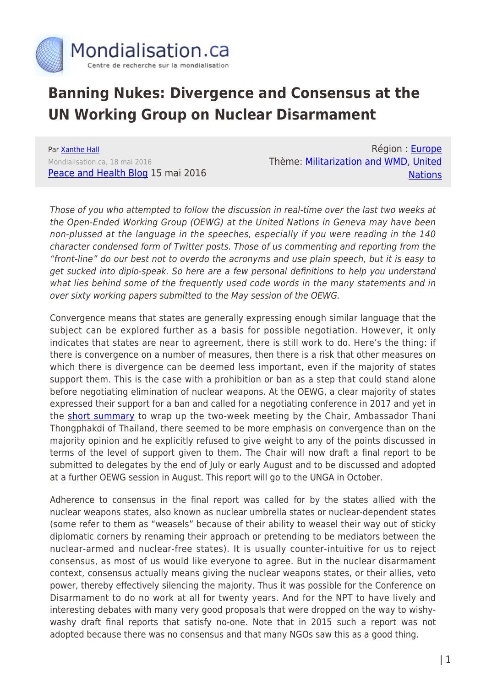

## **Banning Nukes: Divergence and Consensus at the UN Working Group on Nuclear Disarmament**

Par [Xanthe Hall](https://www.mondialisation.ca/author/xanthe-hall) Mondialisation.ca, 18 mai 2016 [Peace and Health Blog](https://peaceandhealthblog.com/2016/05/15/divergence-and-consensus/) 15 mai 2016

Région : [Europe](https://www.mondialisation.ca/region/europe) Thème: [Militarization and WMD](https://www.mondialisation.ca/theme/militarization-and-wmd), [United](https://www.mondialisation.ca/theme/united-nations) **[Nations](https://www.mondialisation.ca/theme/united-nations)** 

Those of you who attempted to follow the discussion in real-time over the last two weeks at the Open-Ended Working Group (OEWG) at the United Nations in Geneva may have been non-plussed at the language in the speeches, especially if you were reading in the 140 character condensed form of Twitter posts. Those of us commenting and reporting from the "front-line" do our best not to overdo the acronyms and use plain speech, but it is easy to get sucked into diplo-speak. So here are a few personal definitions to help you understand what lies behind some of the frequently used code words in the many statements and in over sixty working papers submitted to the May session of the OEWG.

Convergence means that states are generally expressing enough similar language that the subject can be explored further as a basis for possible negotiation. However, it only indicates that states are near to agreement, there is still work to do. Here's the thing: if there is convergence on a number of measures, then there is a risk that other measures on which there is divergence can be deemed less important, even if the majority of states support them. This is the case with a prohibition or ban as a step that could stand alone before negotiating elimination of nuclear weapons. At the OEWG, a clear majority of states expressed their support for a ban and called for a negotiating conference in 2017 and yet in the [short summary](http://www.reachingcriticalwill.org/images/documents/Disarmament-fora/OEWG/2016/Statements/13May_Chair%20summary.pdf) to wrap up the two-week meeting by the Chair, Ambassador Thani Thongphakdi of Thailand, there seemed to be more emphasis on convergence than on the majority opinion and he explicitly refused to give weight to any of the points discussed in terms of the level of support given to them. The Chair will now draft a final report to be submitted to delegates by the end of July or early August and to be discussed and adopted at a further OEWG session in August. This report will go to the UNGA in October.

Adherence to consensus in the final report was called for by the states allied with the nuclear weapons states, also known as nuclear umbrella states or nuclear-dependent states (some refer to them as "weasels" because of their ability to weasel their way out of sticky diplomatic corners by renaming their approach or pretending to be mediators between the nuclear-armed and nuclear-free states). It is usually counter-intuitive for us to reject consensus, as most of us would like everyone to agree. But in the nuclear disarmament context, consensus actually means giving the nuclear weapons states, or their allies, veto power, thereby effectively silencing the majority. Thus it was possible for the Conference on Disarmament to do no work at all for twenty years. And for the NPT to have lively and interesting debates with many very good proposals that were dropped on the way to wishywashy draft final reports that satisfy no-one. Note that in 2015 such a report was not adopted because there was no consensus and that many NGOs saw this as a good thing.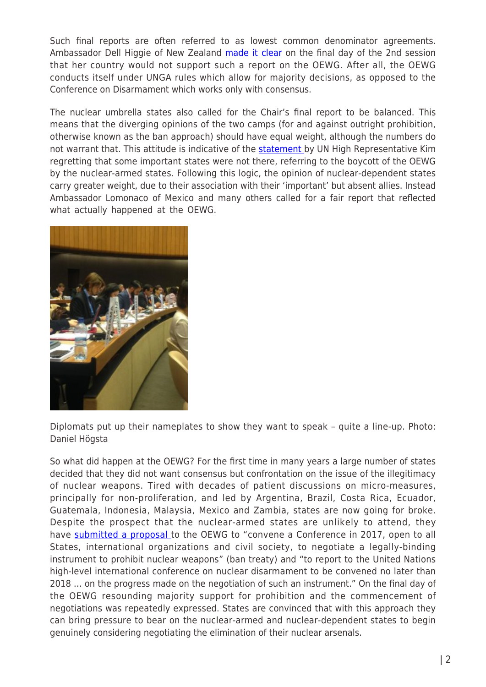Such final reports are often referred to as lowest common denominator agreements. Ambassador Dell Higgie of New Zealand [made it clear](http://www.reachingcriticalwill.org/images/documents/Disarmament-fora/OEWG/2016/Statements/13May_NZ.pdf) on the final day of the 2nd session that her country would not support such a report on the OEWG. After all, the OEWG conducts itself under UNGA rules which allow for majority decisions, as opposed to the Conference on Disarmament which works only with consensus.

The nuclear umbrella states also called for the Chair's final report to be balanced. This means that the diverging opinions of the two camps (for and against outright prohibition, otherwise known as the ban approach) should have equal weight, although the numbers do not warrant that. This attitude is indicative of the **statement** by UN High Representative Kim regretting that some important states were not there, referring to the boycott of the OEWG by the nuclear-armed states. Following this logic, the opinion of nuclear-dependent states carry greater weight, due to their association with their 'important' but absent allies. Instead Ambassador Lomonaco of Mexico and many others called for a fair report that reflected what actually happened at the OEWG.



Diplomats put up their nameplates to show they want to speak – quite a line-up. Photo: Daniel Högsta

So what did happen at the OEWG? For the first time in many years a large number of states decided that they did not want consensus but confrontation on the issue of the illegitimacy of nuclear weapons. Tired with decades of patient discussions on micro-measures, principally for non-proliferation, and led by Argentina, Brazil, Costa Rica, Ecuador, Guatemala, Indonesia, Malaysia, Mexico and Zambia, states are now going for broke. Despite the prospect that the nuclear-armed states are unlikely to attend, they have [submitted a proposal t](http://www.reachingcriticalwill.org/images/documents/Disarmament-fora/OEWG/2016/Documents/WP34.pdf)o the OEWG to "convene a Conference in 2017, open to all States, international organizations and civil society, to negotiate a legally-binding instrument to prohibit nuclear weapons" (ban treaty) and "to report to the United Nations high-level international conference on nuclear disarmament to be convened no later than 2018 … on the progress made on the negotiation of such an instrument." On the final day of the OEWG resounding majority support for prohibition and the commencement of negotiations was repeatedly expressed. States are convinced that with this approach they can bring pressure to bear on the nuclear-armed and nuclear-dependent states to begin genuinely considering negotiating the elimination of their nuclear arsenals.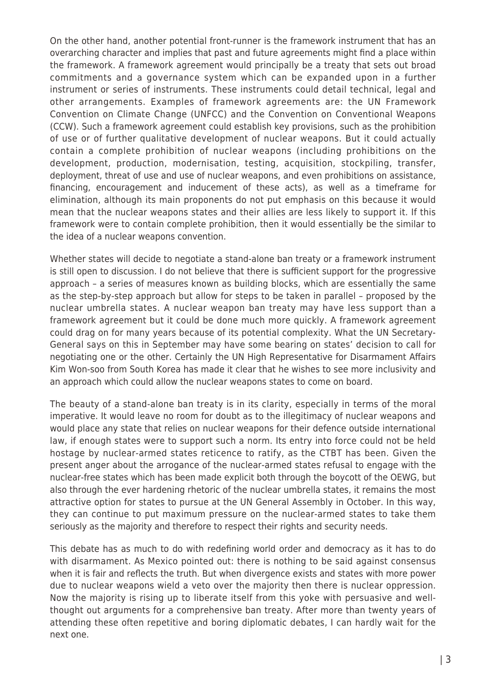On the other hand, another potential front-runner is the framework instrument that has an overarching character and implies that past and future agreements might find a place within the framework. A framework agreement would principally be a treaty that sets out broad commitments and a governance system which can be expanded upon in a further instrument or series of instruments. These instruments could detail technical, legal and other arrangements. Examples of framework agreements are: the UN Framework Convention on Climate Change (UNFCC) and the Convention on Conventional Weapons (CCW). Such a framework agreement could establish key provisions, such as the prohibition of use or of further qualitative development of nuclear weapons. But it could actually contain a complete prohibition of nuclear weapons (including prohibitions on the development, production, modernisation, testing, acquisition, stockpiling, transfer, deployment, threat of use and use of nuclear weapons, and even prohibitions on assistance, financing, encouragement and inducement of these acts), as well as a timeframe for elimination, although its main proponents do not put emphasis on this because it would mean that the nuclear weapons states and their allies are less likely to support it. If this framework were to contain complete prohibition, then it would essentially be the similar to the idea of a nuclear weapons convention.

Whether states will decide to negotiate a stand-alone ban treaty or a framework instrument is still open to discussion. I do not believe that there is sufficient support for the progressive approach – a series of measures known as building blocks, which are essentially the same as the step-by-step approach but allow for steps to be taken in parallel – proposed by the nuclear umbrella states. A nuclear weapon ban treaty may have less support than a framework agreement but it could be done much more quickly. A framework agreement could drag on for many years because of its potential complexity. What the UN Secretary-General says on this in September may have some bearing on states' decision to call for negotiating one or the other. Certainly the UN High Representative for Disarmament Affairs Kim Won-soo from South Korea has made it clear that he wishes to see more inclusivity and an approach which could allow the nuclear weapons states to come on board.

The beauty of a stand-alone ban treaty is in its clarity, especially in terms of the moral imperative. It would leave no room for doubt as to the illegitimacy of nuclear weapons and would place any state that relies on nuclear weapons for their defence outside international law, if enough states were to support such a norm. Its entry into force could not be held hostage by nuclear-armed states reticence to ratify, as the CTBT has been. Given the present anger about the arrogance of the nuclear-armed states refusal to engage with the nuclear-free states which has been made explicit both through the boycott of the OEWG, but also through the ever hardening rhetoric of the nuclear umbrella states, it remains the most attractive option for states to pursue at the UN General Assembly in October. In this way, they can continue to put maximum pressure on the nuclear-armed states to take them seriously as the majority and therefore to respect their rights and security needs.

This debate has as much to do with redefining world order and democracy as it has to do with disarmament. As Mexico pointed out: there is nothing to be said against consensus when it is fair and reflects the truth. But when divergence exists and states with more power due to nuclear weapons wield a veto over the majority then there is nuclear oppression. Now the majority is rising up to liberate itself from this yoke with persuasive and wellthought out arguments for a comprehensive ban treaty. After more than twenty years of attending these often repetitive and boring diplomatic debates, I can hardly wait for the next one.